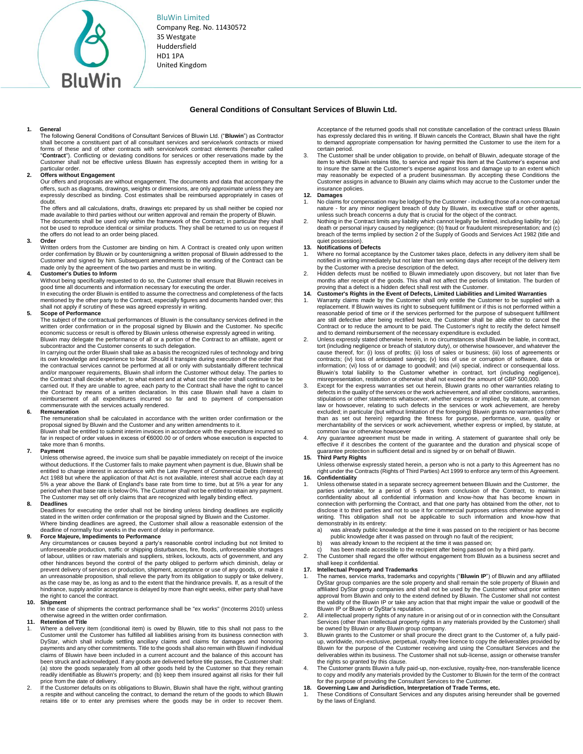BluWin Limited

Company Reg. No. 11430572 35 Westgate Huddersfield HD1 1PA United Kingdom

### **General Conditions of Consultant Services of Bluwin Ltd.**

#### **1. General**

The following General Conditions of Consultant Services of Bluwin Ltd. ("**Bluwin**") as Contractor shall become a constituent part of all consultant services and service/work contracts or mixed forms of these and of other contracts with service/work contract elements (hereafter called **Contract**"). Conflicting or deviating conditions for services or other reservations made by the Customer shall not be effective unless Bluwin has expressly accepted them in writing for a particular order.

## **2. Offers without Engagement**

Our offers and proposals are without engagement. The documents and data that accompany the offers, such as diagrams, drawings, weights or dimensions, are only approximate unless they are expressly described as binding. Cost estimates shall be reimbursed appropriately in cases of doubt.

The offers and all calculations, drafts, drawings etc prepared by us shall neither be copied nor made available to third parties without our written approval and remain the property of Bluwin. The documents shall be used only within the framework of the Contract; in particular they shall not be used to reproduce identical or similar products. They shall be returned to us on request if the offers do not lead to an order being placed.

#### **3. Order**

Written orders from the Customer are binding on him. A Contract is created only upon written order confirmation by Bluwin or by countersigning a written proposal of Bluwin addressed to the Customer and signed by him. Subsequent amendments to the wording of the Contract can be made only by the agreement of the two parties and must be in writing.

#### **4. Customer's Duties to Inform**

Without being specifically requested to do so, the Customer shall ensure that Bluwin receives in good time all documents and information necessary for executing the order.

In executing the order Bluwin is entitled to assume the correctness and completeness of the facts mentioned by the other party to the Contract, especially figures and documents handed over; this shall not apply if scrutiny of these was agreed expressly in writing.

#### **5. Scope of Performance**

The subject of the contractual performances of Bluwin is the consultancy services defined in the written order confirmation or in the proposal signed by Bluwin and the Customer. No specific<br>economic success or result is offered by Bluwin unless otherwise expressly agreed in writing.<br>Bluwin may delegate the performance subcontractor and the Customer consents to such delegation.

In carrying out the order Bluwin shall take as a basis the recognized rules of technology and bring

its own knowledge and experience to bear. Should it transpire during execution of the order that the contractual services cannot be performed at all or only with substantially different technical and/or manpower requirements, Bluwin shall inform the Customer without delay. The parties to the Contract shall decide whether, to what extent and at what cost the order shall continue to be carried out. If they are unable to agree, each party to the Contract shall have the right to cancel the Contract by means of a written declaration. In this case Bluwin shall have a claim to reimbursement of all expenditures incurred so far and to payment of compensation commensurate with the services actually rendered.

#### **6. Remuneration**

The remuneration shall be calculated in accordance with the written order confirmation or the proposal signed by Bluwin and the Customer and any written amendments to it. Bluwin shall be entitled to submit interim invoices in accordance with the expenditure incurred so

far in respect of order values in excess of €6000.00 or of orders whose execution is expected to take more than 6 months.

#### **7. Payment**

Unless otherwise agreed, the invoice sum shall be payable immediately on receipt of the invoice without deductions. If the Customer fails to make payment when payment is due, Bluwin shall be entitled to charge interest in accordance with the Late Payment of Commercial Debts (Interest) Act 1988 but where the application of that Act is not available, interest shall accrue each day at 5% a year above the Bank of England's base rate from time to time, but at 5% a year for any period when that base rate is below 0%. The Customer shall not be entitled to retain any payment. The Customer may set off only claims that are recognized with legally binding effect.

#### **8. Deadlines**

Deadlines for executing the order shall not be binding unless binding deadlines are explicitly stated in the written order confirmation or the proposal signed by Bluwin and the Customer. Where binding deadlines are agreed, the Customer shall allow a reasonable extension of the deadline of normally four weeks in the event of delay in performance.

# **9. Force Majeure, Impediments to Performance**

Any circumstances or causes beyond a party's reasonable control including but not limited to unforeseeable production, traffic or shipping disturbances, fire, floods, unforeseeable shortages of labour, utilities or raw materials and suppliers, strikes, lockouts, acts of government, and any other hindrances beyond the control of the party obliged to perform which diminish, delay or prevent delivery of services or production, shipment, acceptance or use of any goods, or make it an unreasonable proposition, shall relieve the party from its obligation to supply or take delivery, as the case may be, as long as and to the extent that the hindrance prevails. If, as a result of the hindrance, supply and/or acceptance is delayed by more than eight weeks, either party shall have the right to cancel the contract.

#### **10. Shipment**

In the case of shipments the contract performance shall be "ex works" (Incoterms 2010) unless otherwise agreed in the written order confirmation.

#### **11. Retention of Title**

- Where a delivery item (conditional item) is owed by Bluwin, title to this shall not pass to the Customer until the Customer has fulfilled all liabilities arising from its business connection with DyStar, which shall include settling ancillary claims and claims for damages and honoring payments and any other commitments. Title to the goods shall also remain with Bluwin if individual claims of Bluwin have been included in a current account and the balance of this account has been struck and acknowledged. If any goods are delivered before title passes, the Customer shall: (a) store the goods separately from all other goods held by the Customer so that they remain readily identifiable as Bluwin's property; and (b) keep them insured against all risks for their full price from the date of delivery.
- 2. If the Customer defaults on its obligations to Bluwin, Bluwin shall have the right, without granting a respite and without canceling the contract, to demand the return of the goods to which Bluwin retains title or to enter any premises where the goods may be in order to recover them.

Acceptance of the returned goods shall not constitute cancellation of the contract unless Bluwin has expressly declared this in writing. If Bluwin cancels the Contract, Bluwin shall have the right to demand appropriate compensation for having permitted the Customer to use the item for a certain period.

The Customer shall be under obligation to provide, on behalf of Bluwin, adequate storage of the item to which Bluwin retains title, to service and repair this item at the Customer's expense and to insure the same at the Customer's expense against loss and damage up to an extent which may reasonably be expected of a prudent businessman. By accepting these Conditions the Customer assigns in advance to Bluwin any claims which may accrue to the Customer under the insurance policies.

## **12. Damages**

- No claims for compensation may be lodged by the Customer including those of a non-contractual nature - for any minor negligent breach of duty by Bluwin, its executive staff or other agents, unless such breach concerns a duty that is crucial for the object of the contract.
- 2. Nothing in the Contract limits any liability which cannot legally be limited, including liability for: (a) death or personal injury caused by negligence; (b) fraud or fraudulent misrepresentation; and (c) breach of the terms implied by section 2 of the Supply of Goods and Services Act 1982 (title and quiet possession).

#### **13. Notifications of Defects**

- Where no formal acceptance by the Customer takes place, defects in any delivery item shall be notified in writing immediately but not later than ten working days after receipt of the delivery item by the Customer with a precise description of the defect.
- 2. Hidden defects must be notified to Bluwin immediately upon discovery, but not later than five months after receipt of the goods. This shall not affect the periods of limitation. The burden of proving that a defect is a hidden defect shall rest with the Customer.

## **14. Customer's Rights in the Event of Defects, Limited Liabilities and Limited Warranties**

- Warranty claims made by the Customer shall only entitle the Customer to be supplied with a replacement. If Bluwin waives its right to subsequent fulfillment or if this is not performed within a reasonable period of time or if the services performed for the purpose of subsequent fulfillment are still defective after being rectified twice, the Customer shall be able either to cancel the Contract or to reduce the amount to be paid. The Customer's right to rectify the defect himself
- and to demand reimbursement of the necessary expenditure is excluded. 2. Unless expressly stated otherwise herein, in no circumstances shall Bluwin be liable, in contract, tort (including negligence or breach of statutory duty), or otherwise howsoever, and whatever the cause thereof, for: (i) loss of profits; (ii) loss of sales or business; (iii) loss of agreements or contracts; (iv) loss of anticipated savings; (v) loss of use or corruption of software, data or information; (vi) loss of or damage to goodwill; and (vii) special, indirect or consequential loss. Bluwin's total liability to the Customer whether in contract, tort (including negligence), misrepresentation, restitution or otherwise shall not exceed the amount of GBP 500,000
- 3. Except for the express warranties set out herein, Bluwin grants no other warranties relating to defects in the quality of the services or the work achievement, and all other conditions, warranties, stipulations or other statements whatsoever, whether express or implied, by statute, at common law or howsoever, relating to such defects in the services or work achievement, are hereby excluded; in particular (but without limitation of the foregoing) Bluwin grants no warranties (other than as set out herein) regarding the fitness for purpose, performance, use, quality or merchantability of the services or work achievement, whether express or implied, by statute, at common law or otherwise howsoever
- 4. Any guarantee agreement must be made in writing. A statement of guarantee shall only be effective if it describes the content of the guarantee and the duration and physical scope of guarantee protection in sufficient detail and is signed by or on behalf of Bluwin.

#### **15. Third Party Rights**

Unless otherwise expressly stated herein, a person who is not a party to this Agreement has no right under the Contracts (Rights of Third Parties) Act 1999 to enforce any term of this Agreement. **16. Confidentiality** 

- 1. Unless otherwise stated in a separate secrecy agreement between Bluwin and the Customer, the parties undertake, for a period of 5 years from conclusion of the Contract, to maintain confidentiality about all confidential information and know-how that has become known in connection with performing the Contract, and that one party has obtained from the other, not to disclose it to third parties and not to use it for commercial purposes unless otherwise agreed in writing. This obligation shall not be applicable to such information and know-how that demonstrably in its entirety:
	- was already public knowledge at the time it was passed on to the recipient or has become public knowledge after it was passed on through no fault of the recipient; b) was already known to the recipient at the time it was passed on;
	-
	- has been made accessible to the recipient after being passed on by a third party.

2. The Customer shall regard the offer without engagement from Bluwin as a business secret and shall keep it confidential.

## **17. Intellectual Property and Trademarks**

- 1. The names, service marks, trademarks and copyrights ("**Bluwin IP**") of Bluwin and any affiliated DyStar group companies are the sole property and shall remain the sole property of Bluwin and affiliated DyStar group companies and shall not be used by the Customer without prior written approval from Bluwin and only to the extend defined by Bluwin. The Customer shall not contest the validity of the Bluwin IP or take any action that that might impair the value or goodwill of the Bluwin IP or Bluwin or DyStar's reputation.
- All intellectual property rights of any nature in or arising out of or in connection with the Consultant Services (other than intellectual property rights in any materials provided by the Customer) shall be owned by Bluwin or any Bluwin group company.
- 3. Bluwin grants to the Customer or shall procure the direct grant to the Customer of, a fully paidup, worldwide, non-exclusive, perpetual, royalty-free licence to copy the deliverables provided by Bluwin for the purpose of the Customer receiving and using the Consultant Services and the deliverables within its business. The Customer shall not sub-license, assign or otherwise transfer the rights so granted by this clause.
- The Customer grants Bluwin a fully paid-up, non-exclusive, royalty-free, non-transferable licence to copy and modify any materials provided by the Customer to Bluwin for the term of the contract for the purpose of providing the Consultant Services to the Customer.

**18. Governing Law and Jurisdiction, Interpretation of Trade Terms, etc.**  1. These Conditions of Consultant Services and any disputes arising hereunder shall be governed by the laws of England.